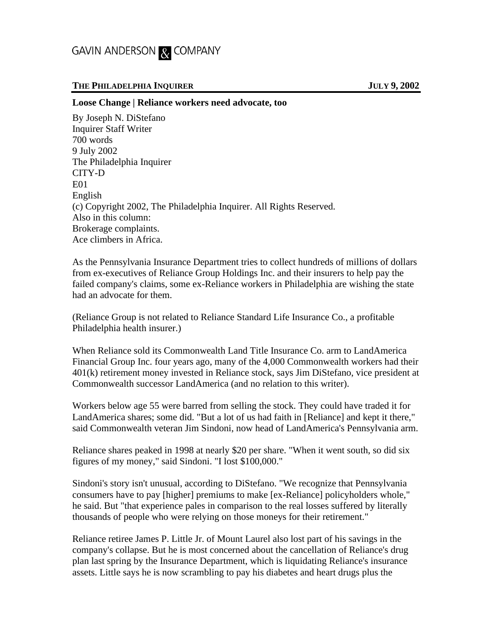## GAVIN ANDERSON & COMPANY

## **THE PHILADELPHIA INQUIRER JULY 9, 2002**

## **Loose Change | Reliance workers need advocate, too**

By Joseph N. DiStefano Inquirer Staff Writer 700 words 9 July 2002 The Philadelphia Inquirer CITY-D E01 English (c) Copyright 2002, The Philadelphia Inquirer. All Rights Reserved. Also in this column: Brokerage complaints. Ace climbers in Africa.

As the Pennsylvania Insurance Department tries to collect hundreds of millions of dollars from ex-executives of Reliance Group Holdings Inc. and their insurers to help pay the failed company's claims, some ex-Reliance workers in Philadelphia are wishing the state had an advocate for them.

(Reliance Group is not related to Reliance Standard Life Insurance Co., a profitable Philadelphia health insurer.)

When Reliance sold its Commonwealth Land Title Insurance Co. arm to LandAmerica Financial Group Inc. four years ago, many of the 4,000 Commonwealth workers had their 401(k) retirement money invested in Reliance stock, says Jim DiStefano, vice president at Commonwealth successor LandAmerica (and no relation to this writer).

Workers below age 55 were barred from selling the stock. They could have traded it for LandAmerica shares; some did. "But a lot of us had faith in [Reliance] and kept it there," said Commonwealth veteran Jim Sindoni, now head of LandAmerica's Pennsylvania arm.

Reliance shares peaked in 1998 at nearly \$20 per share. "When it went south, so did six figures of my money," said Sindoni. "I lost \$100,000."

Sindoni's story isn't unusual, according to DiStefano. "We recognize that Pennsylvania consumers have to pay [higher] premiums to make [ex-Reliance] policyholders whole," he said. But "that experience pales in comparison to the real losses suffered by literally thousands of people who were relying on those moneys for their retirement."

Reliance retiree James P. Little Jr. of Mount Laurel also lost part of his savings in the company's collapse. But he is most concerned about the cancellation of Reliance's drug plan last spring by the Insurance Department, which is liquidating Reliance's insurance assets. Little says he is now scrambling to pay his diabetes and heart drugs plus the